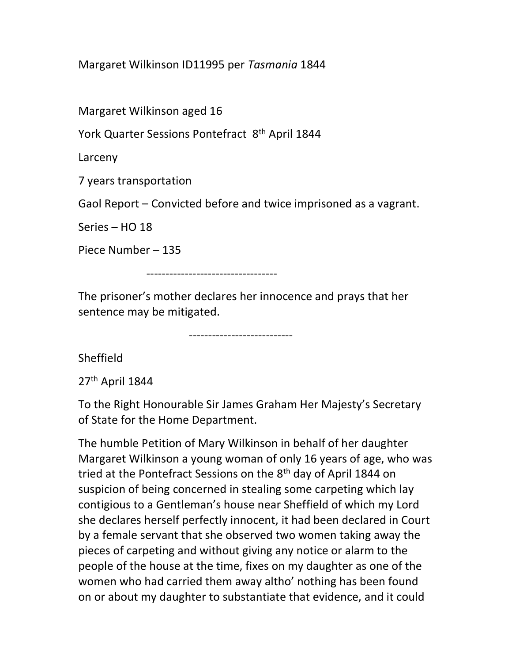Margaret Wilkinson ID11995 per Tasmania 1844

Margaret Wilkinson aged 16

York Quarter Sessions Pontefract 8<sup>th</sup> April 1844

Larceny

7 years transportation

Gaol Report – Convicted before and twice imprisoned as a vagrant.

Series – HO 18

Piece Number – 135

----------------------------------

The prisoner's mother declares her innocence and prays that her sentence may be mitigated.

---------------------------

Sheffield

27th April 1844

To the Right Honourable Sir James Graham Her Majesty's Secretary of State for the Home Department.

The humble Petition of Mary Wilkinson in behalf of her daughter Margaret Wilkinson a young woman of only 16 years of age, who was tried at the Pontefract Sessions on the 8<sup>th</sup> day of April 1844 on suspicion of being concerned in stealing some carpeting which lay contigious to a Gentleman's house near Sheffield of which my Lord she declares herself perfectly innocent, it had been declared in Court by a female servant that she observed two women taking away the pieces of carpeting and without giving any notice or alarm to the people of the house at the time, fixes on my daughter as one of the women who had carried them away altho' nothing has been found on or about my daughter to substantiate that evidence, and it could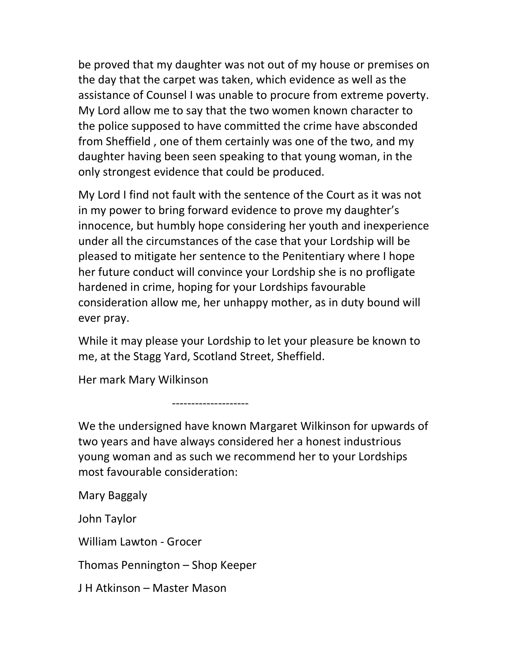be proved that my daughter was not out of my house or premises on the day that the carpet was taken, which evidence as well as the assistance of Counsel I was unable to procure from extreme poverty. My Lord allow me to say that the two women known character to the police supposed to have committed the crime have absconded from Sheffield , one of them certainly was one of the two, and my daughter having been seen speaking to that young woman, in the only strongest evidence that could be produced.

My Lord I find not fault with the sentence of the Court as it was not in my power to bring forward evidence to prove my daughter's innocence, but humbly hope considering her youth and inexperience under all the circumstances of the case that your Lordship will be pleased to mitigate her sentence to the Penitentiary where I hope her future conduct will convince your Lordship she is no profligate hardened in crime, hoping for your Lordships favourable consideration allow me, her unhappy mother, as in duty bound will ever pray.

While it may please your Lordship to let your pleasure be known to me, at the Stagg Yard, Scotland Street, Sheffield.

Her mark Mary Wilkinson

--------------------

We the undersigned have known Margaret Wilkinson for upwards of two years and have always considered her a honest industrious young woman and as such we recommend her to your Lordships most favourable consideration:

Mary Baggaly

John Taylor

William Lawton - Grocer

Thomas Pennington – Shop Keeper

J H Atkinson – Master Mason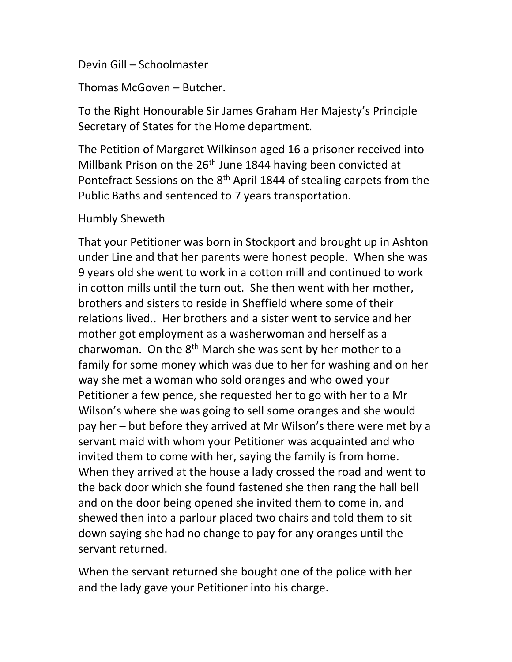## Devin Gill – Schoolmaster

Thomas McGoven – Butcher.

To the Right Honourable Sir James Graham Her Majesty's Principle Secretary of States for the Home department.

The Petition of Margaret Wilkinson aged 16 a prisoner received into Millbank Prison on the 26<sup>th</sup> June 1844 having been convicted at Pontefract Sessions on the 8<sup>th</sup> April 1844 of stealing carpets from the Public Baths and sentenced to 7 years transportation.

## Humbly Sheweth

That your Petitioner was born in Stockport and brought up in Ashton under Line and that her parents were honest people. When she was 9 years old she went to work in a cotton mill and continued to work in cotton mills until the turn out. She then went with her mother, brothers and sisters to reside in Sheffield where some of their relations lived.. Her brothers and a sister went to service and her mother got employment as a washerwoman and herself as a charwoman. On the  $8<sup>th</sup>$  March she was sent by her mother to a family for some money which was due to her for washing and on her way she met a woman who sold oranges and who owed your Petitioner a few pence, she requested her to go with her to a Mr Wilson's where she was going to sell some oranges and she would pay her – but before they arrived at Mr Wilson's there were met by a servant maid with whom your Petitioner was acquainted and who invited them to come with her, saying the family is from home. When they arrived at the house a lady crossed the road and went to the back door which she found fastened she then rang the hall bell and on the door being opened she invited them to come in, and shewed then into a parlour placed two chairs and told them to sit down saying she had no change to pay for any oranges until the servant returned.

When the servant returned she bought one of the police with her and the lady gave your Petitioner into his charge.